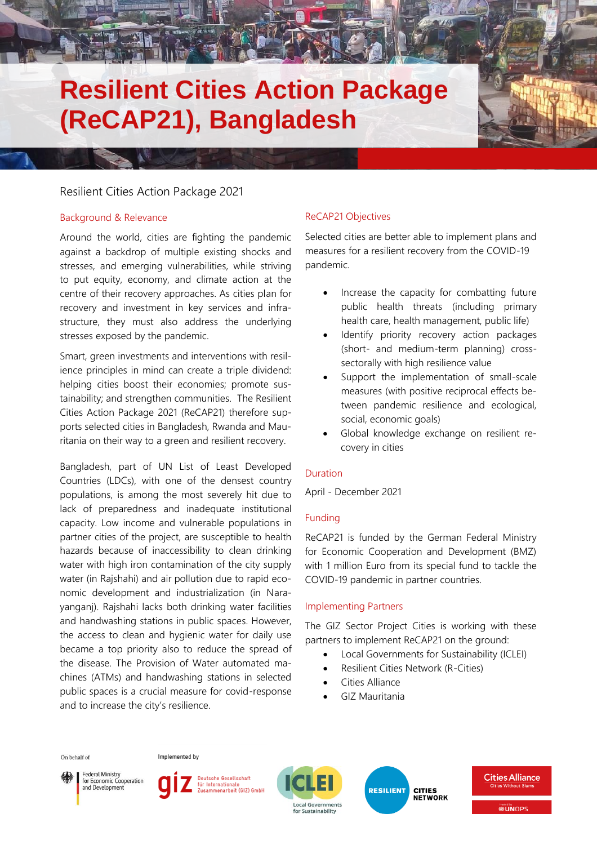# **Resilient Cities Action Package (ReCAP21), Bangladesh**

# Resilient Cities Action Package 2021

## Background & Relevance

Around the world, cities are fighting the pandemic against a backdrop of multiple existing shocks and stresses, and emerging vulnerabilities, while striving to put equity, economy, and climate action at the centre of their recovery approaches. As cities plan for recovery and investment in key services and infrastructure, they must also address the underlying stresses exposed by the pandemic.

Smart, green investments and interventions with resilience principles in mind can create a triple dividend: helping cities boost their economies; promote sustainability; and strengthen communities. The Resilient Cities Action Package 2021 (ReCAP21) therefore supports selected cities in Bangladesh, Rwanda and Mauritania on their way to a green and resilient recovery.

Bangladesh, part of UN List of Least Developed Countries (LDCs), with one of the densest country populations, is among the most severely hit due to lack of preparedness and inadequate institutional capacity. Low income and vulnerable populations in partner cities of the project, are susceptible to health hazards because of inaccessibility to clean drinking water with high iron contamination of the city supply water (in Rajshahi) and air pollution due to rapid economic development and industrialization (in Narayanganj). Rajshahi lacks both drinking water facilities and handwashing stations in public spaces. However, the access to clean and hygienic water for daily use became a top priority also to reduce the spread of the disease. The Provision of Water automated machines (ATMs) and handwashing stations in selected public spaces is a crucial measure for covid-response and to increase the city's resilience.

# ReCAP21 Objectives

Selected cities are better able to implement plans and measures for a resilient recovery from the COVID-19 pandemic.

- Increase the capacity for combatting future public health threats (including primary health care, health management, public life)
- Identify priority recovery action packages (short- and medium-term planning) crosssectorally with high resilience value
- Support the implementation of small-scale measures (with positive reciprocal effects between pandemic resilience and ecological, social, economic goals)
- Global knowledge exchange on resilient recovery in cities

## Duration

April - December 2021

## Funding

ReCAP21 is funded by the German Federal Ministry for Economic Cooperation and Development (BMZ) with 1 million Euro from its special fund to tackle the COVID-19 pandemic in partner countries.

## Implementing Partners

The GIZ Sector Project Cities is working with these partners to implement ReCAP21 on the ground:

- Local Governments for Sustainability (ICLEI)
- Resilient Cities Network (R-Cities)
- Cities Alliance
- GIZ Mauritania



Implemented by



Deutsche Gesellschaft für Internationale sammenarbeit (GIZ) GmbH



**RESILIENT CITIES<br>NETWORK**